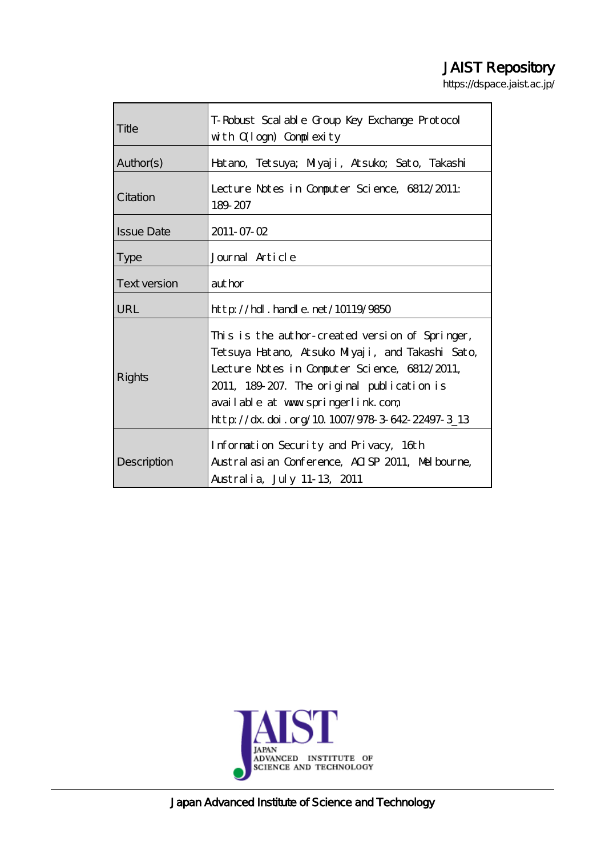# JAIST Repository

https://dspace.jaist.ac.jp/

| Title               | T-Robust Scal able Group Key Exchange Protocol<br>with Ollogn) Complexity                                                                                                                                                                                                                  |  |  |  |
|---------------------|--------------------------------------------------------------------------------------------------------------------------------------------------------------------------------------------------------------------------------------------------------------------------------------------|--|--|--|
| Author(s)           | Hatano, Tetsuya; Miyaji, Atsuko; Sato, Takashi                                                                                                                                                                                                                                             |  |  |  |
| Citation            | Lecture Notes in Computer Science, 6812/2011:<br>189 207                                                                                                                                                                                                                                   |  |  |  |
| <b>Issue Date</b>   | $2011 - 07 - 02$                                                                                                                                                                                                                                                                           |  |  |  |
| <b>Type</b>         | Journal Article                                                                                                                                                                                                                                                                            |  |  |  |
| <b>Text version</b> | author                                                                                                                                                                                                                                                                                     |  |  |  |
| <b>URL</b>          | $http$ // $hdl$ . handle. net/10119/9850                                                                                                                                                                                                                                                   |  |  |  |
| Rights              | This is the author-created version of Springer,<br>Tetsuya Hatano, Atsuko Milyaji, and Takashi Sato,<br>Lecture Notes in Computer Science, 6812/2011,<br>2011, 189-207. The original publication is<br>available at www.springerlink.com<br>http://dx.doi.org/10.1007/978-3-642-22497-3_13 |  |  |  |
| Description         | Information Security and Privacy, 16th<br>Austral asian Conference, AISP 2011, Melbourne,<br>Australia, July 11-13, 2011                                                                                                                                                                   |  |  |  |



Japan Advanced Institute of Science and Technology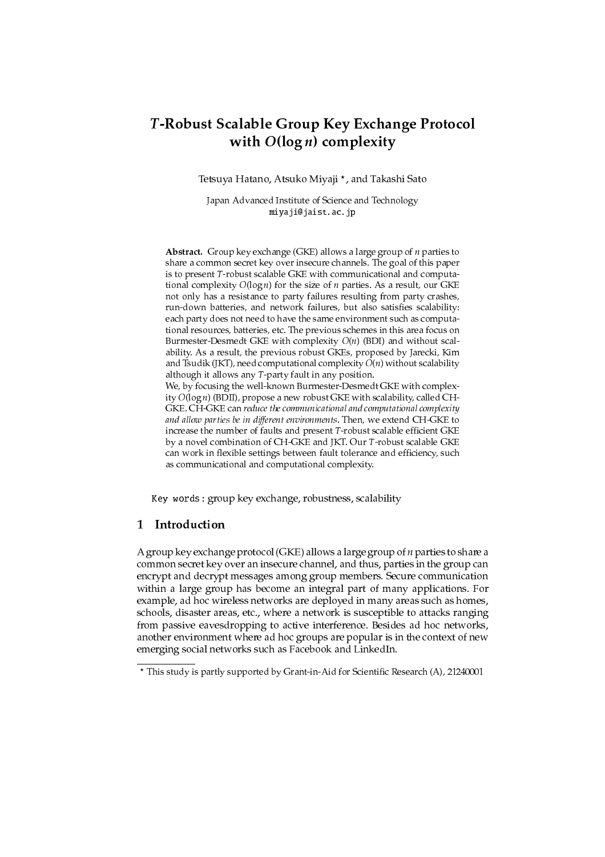## T-Robust Scalable Group Key Exchange Protocol with  $O(\log n)$  complexity

Tetsuya Hatano, Atsuko Miyaji \*, and Takashi Sato

Japan Advanced Institute of Science and Technology miyaji@jaist.ac.jp

**Abstract.** Group key exchange (GKE) allows a large group of  $n$  parties to share a common secret key over insecure channels. The goal of this paper is to present T-robust scalable GKE with communicational and computational complexity  $O(\log n)$  for the size of *n* parties. As a result, our GKE not only has a resistance to party failures resulting from party crashes, run-down batteries, and network failures, but also satisfies scalability: each party does not need to have the same environment such as computational resources, batteries, etc. The previous schemes in this area focus on Burmester-Desmedt GKE with complexity  $O(n)$  (BDI) and without scalability. As a result, the previous robust GKEs, proposed by Jarecki, Kim and Tsudik (JKT), need computational complexity  $O(n)$  without scalability although it allows any  $T$ -party fault in any position. We, by focusing the well-known Burmester-Desmedt GKE with complex-

ity  $O(\log n)$  (BDII), propose a new robust GKE with scalability, called CH-GKE, CH-GKE can reduce the communicational and computational complexity and allow parties be in different environments. Then, we extend CH-GKE to increase the number of faults and present T-robust scalable efficient GKE by a novel combination of CH-GKE and JKT. Our T-robust scalable GKE can work in flexible settings between fault tolerance and efficiency, such as communicational and computational complexity.

Key words: group key exchange, robustness, scalability

#### $\mathbf{1}$ Introduction

A group key exchange protocol (GKE) allows a large group of *n* parties to share a common secret key over an insecure channel, and thus, parties in the group can encrypt and decrypt messages among group members. Secure communication within a large group has become an integral part of many applications. For example, ad hoc wireless networks are deployed in many areas such as homes, schools, disaster areas, etc., where a network is susceptible to attacks ranging from passive eavesdropping to active interference. Besides ad hoc networks, another environment where ad hoc groups are popular is in the context of new emerging social networks such as Facebook and LinkedIn.

<sup>\*</sup> This study is partly supported by Grant-in-Aid for Scientific Research (A), 21240001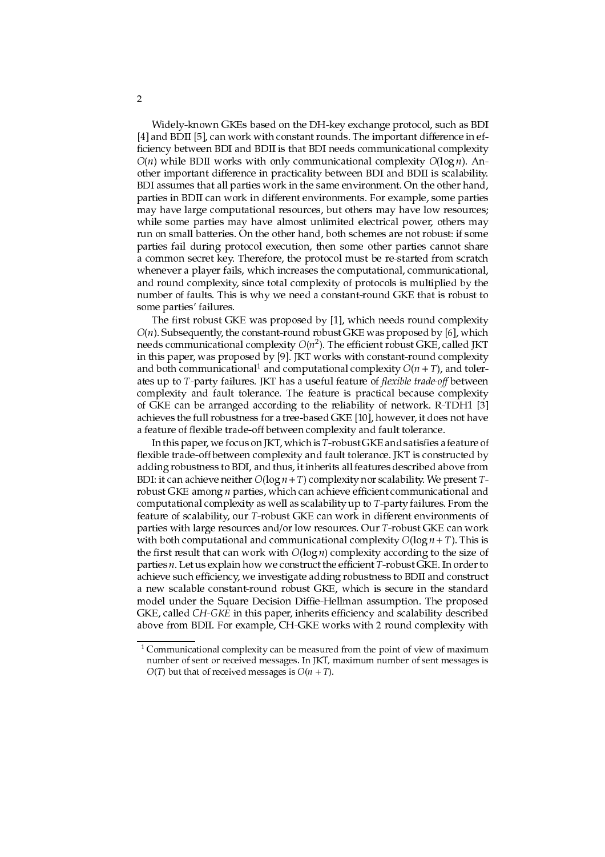Widely-known GKEs based on the DH-key exchange protocol, such as BDI [4] and BDII [5], can work with constant rounds. The important difference in efficiency between BDI and BDII is that BDI needs communicational complexity  $O(n)$  while BDII works with only communicational complexity  $O(\log n)$ . Another important difference in practicality between BDI and BDII is scalability. BDI assumes that all parties work in the same environment. On the other hand, parties in BDII can work in different environments. For example, some parties may have large computational resources, but others may have low resources; while some parties may have almost unlimited electrical power, others may run on small batteries. On the other hand, both schemes are not robust: if some parties fail during protocol execution, then some other parties cannot share a common secret key. Therefore, the protocol must be re-started from scratch whenever a player fails, which increases the computational, communicational, and round complexity, since total complexity of protocols is multiplied by the number of faults. This is why we need a constant-round GKE that is robust to some parties' failures.

The first robust GKE was proposed by [1], which needs round complexity  $O(n)$ . Subsequently, the constant-round robust GKE was proposed by [6], which needs communicational complexity  $O(n^2)$ . The efficient robust GKE, called JKT in this paper, was proposed by [9]. JKT works with constant-round complexity and both communicational<sup>1</sup> and computational complexity  $O(n+T)$ , and tolerates up to T-party failures. JKT has a useful feature of flexible trade-off between complexity and fault tolerance. The feature is practical because complexity of GKE can be arranged according to the reliability of network. R-TDH1 [3] achieves the full robustness for a tree-based GKE [10], however, it does not have a feature of flexible trade-off between complexity and fault tolerance.

In this paper, we focus on JKT, which is T-robust GKE and satisfies a feature of flexible trade-off between complexity and fault tolerance. JKT is constructed by adding robustness to BDI, and thus, it inherits all features described above from BDI: it can achieve neither  $O(\log n + T)$  complexity nor scalability. We present Trobust GKE among *n* parties, which can achieve efficient communicational and computational complexity as well as scalability up to T-party failures. From the feature of scalability, our T-robust GKE can work in different environments of parties with large resources and/or low resources. Our T-robust GKE can work with both computational and communicational complexity  $O(\log n + T)$ . This is the first result that can work with  $O(\log n)$  complexity according to the size of parties n. Let us explain how we construct the efficient T-robust GKE. In order to achieve such efficiency, we investigate adding robustness to BDII and construct a new scalable constant-round robust GKE, which is secure in the standard model under the Square Decision Diffie-Hellman assumption. The proposed GKE, called CH-GKE in this paper, inherits efficiency and scalability described above from BDII. For example, CH-GKE works with 2 round complexity with

 $1$  Communicational complexity can be measured from the point of view of maximum number of sent or received messages. In JKT, maximum number of sent messages is  $O(T)$  but that of received messages is  $O(n + T)$ .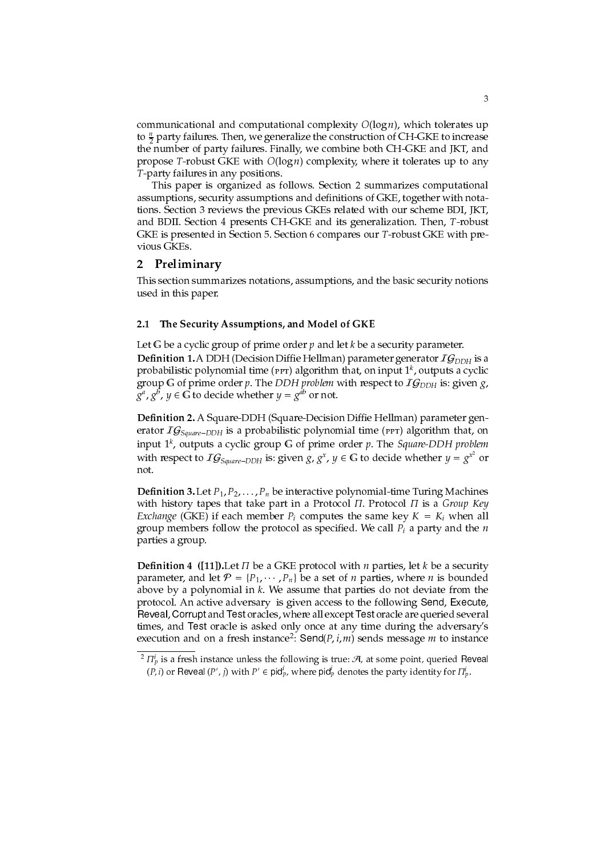communicational and computational complexity  $O(log n)$ , which tolerates up to  $\frac{n}{2}$  party failures. Then, we generalize the construction of CH-GKE to increase the number of party failures. Finally, we combine both CH-GKE and JKT, and propose T-robust GKE with  $O(\log n)$  complexity, where it tolerates up to any T-party failures in any positions.

This paper is organized as follows. Section 2 summarizes computational assumptions, security assumptions and definitions of GKE, together with notations. Section 3 reviews the previous GKEs related with our scheme BDI, JKT, and BDII. Section 4 presents CH-GKE and its generalization. Then, T-robust GKE is presented in Section 5. Section 6 compares our T-robust GKE with previous GKEs.

#### $\mathbf{2}$ Preliminary

This section summarizes notations, assumptions, and the basic security notions used in this paper.

#### The Security Assumptions, and Model of GKE  $2.1$

Let G be a cyclic group of prime order  $p$  and let  $k$  be a security parameter. **Definition 1.** A DDH (Decision Diffie Hellman) parameter generator  $IG_{DDH}$  is a probabilistic polynomial time (PPT) algorithm that, on input  $1^k$ , outputs a cyclic group G of prime order p. The DDH problem with respect to  $IG_{DDH}$  is: given g,  $g^a$ ,  $g^b$ ,  $y \in G$  to decide whether  $y = g^{ab}$  or not.

Definition 2. A Square-DDH (Square-Decision Diffie Hellman) parameter generator  $IG_{Square-DDH}$  is a probabilistic polynomial time (PPT) algorithm that, on input  $1^k$ , outputs a cyclic group G of prime order p. The Square-DDH problem with respect to  $IG_{Square-DDH}$  is: given g,  $g^x$ ,  $y \in G$  to decide whether  $y = g^{x^2}$  or not.

**Definition 3.** Let  $P_1, P_2, \ldots, P_n$  be interactive polynomial-time Turing Machines with history tapes that take part in a Protocol  $\Pi$ . Protocol  $\Pi$  is a Group Key *Exchange* (GKE) if each member  $P_i$  computes the same key  $K = K_i$  when all group members follow the protocol as specified. We call  $P_i$  a party and the  $n$ parties a group.

**Definition 4** ([11]). Let  $\Pi$  be a GKE protocol with  $n$  parties, let  $k$  be a security parameter, and let  $P = \{P_1, \dots, P_n\}$  be a set of *n* parties, where *n* is bounded above by a polynomial in k. We assume that parties do not deviate from the protocol. An active adversary is given access to the following Send, Execute, Reveal, Corrupt and Test oracles, where all except Test oracle are queried several times, and Test oracle is asked only once at any time during the adversary's execution and on a fresh instance<sup>2</sup>: Send( $P, i, m$ ) sends message m to instance

<sup>&</sup>lt;sup>2</sup>  $\Pi_p^i$  is a fresh instance unless the following is true:  $\mathcal{A}$ , at some point, queried Reveal  $(P, i)$  or Reveal  $(P', i)$  with  $P' \in \text{pid}_p^i$ , where  $\text{pid}_p^i$  denotes the party identity for  $\Pi_p^i$ .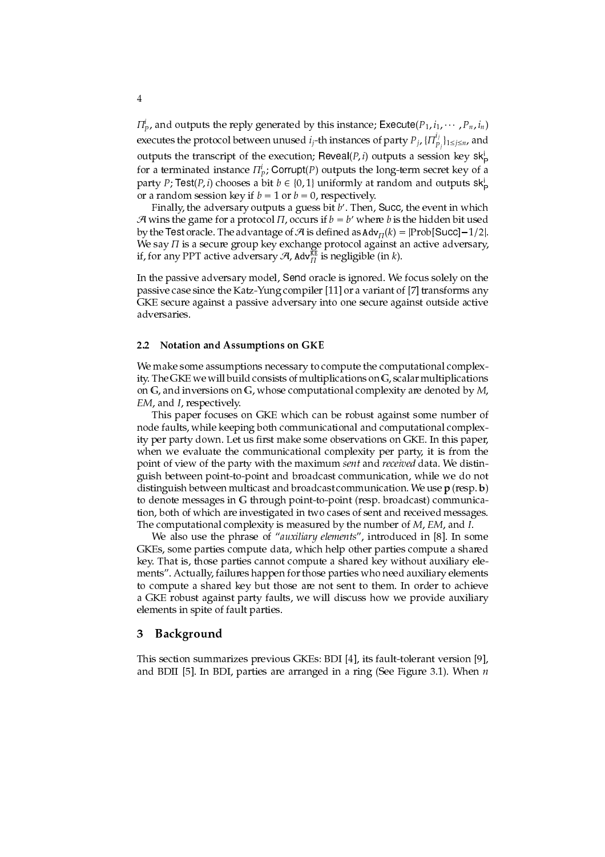$\Pi_{p}^{i}$ , and outputs the reply generated by this instance; Execute( $P_1$ ,  $i_1$ ,  $\cdots$ ,  $P_n$ ,  $i_n$ ) executes the protocol between unused  $i_j$ -th instances of party  $P_j$ ,  $\{\Pi_{p_i}^{i_j}\}_{1 \leq j \leq n}$ , and outputs the transcript of the execution; Reveal(P, i) outputs a session key sk. for a terminated instance  $\Pi_p^i$ ; Corrupt(P) outputs the long-term secret key of a party P; Test(P, i) chooses a bit  $b \in \{0, 1\}$  uniformly at random and outputs sk or a random session key if  $b = 1$  or  $b = 0$ , respectively.

Finally, the adversary outputs a guess bit  $b'$ . Then, Succ, the event in which A wins the game for a protocol  $\Pi$ , occurs if  $b=b'$  where  $b$  is the hidden bit used by the Test oracle. The advantage of A is defined as  $\text{Adv}_{\Pi}(k) = |\text{Prob}[\text{Succ}]-1/2|$ . We say  $\Pi$  is a secure group key exchange protocol against an active adversary, if, for any PPT active adversary  $\mathcal{A}$ ,  $\text{Adv}_{\Pi}^{\text{KE}}$  is negligible (in  $k$ ).

In the passive adversary model, Send oracle is ignored. We focus solely on the passive case since the Katz-Yung compiler [11] or a variant of [7] transforms any GKE secure against a passive adversary into one secure against outside active adversaries.

#### Notation and Assumptions on GKE  $2.2$

We make some assumptions necessary to compute the computational complexity. The GKE we will build consists of multiplications on G, scalar multiplications on  $\mathbb G$ , and inversions on  $\mathbb G$ , whose computational complexity are denoted by  $M$ , EM, and I, respectively.

This paper focuses on GKE which can be robust against some number of node faults, while keeping both communicational and computational complexity per party down. Let us first make some observations on GKE. In this paper, when we evaluate the communicational complexity per party, it is from the point of view of the party with the maximum sent and received data. We distinguish between point-to-point and broadcast communication, while we do not distinguish between multicast and broadcast communication. We use  $p$  (resp. b) to denote messages in G through point-to-point (resp. broadcast) communication, both of which are investigated in two cases of sent and received messages. The computational complexity is measured by the number of M, EM, and I.

We also use the phrase of "auxiliary elements", introduced in [8]. In some GKEs, some parties compute data, which help other parties compute a shared key. That is, those parties cannot compute a shared key without auxiliary elements". Actually, failures happen for those parties who need auxiliary elements to compute a shared key but those are not sent to them. In order to achieve a GKE robust against party faults, we will discuss how we provide auxiliary elements in spite of fault parties.

#### Background 3

This section summarizes previous GKEs: BDI [4], its fault-tolerant version [9], and BDII [5]. In BDI, parties are arranged in a ring (See Figure 3.1). When  $n$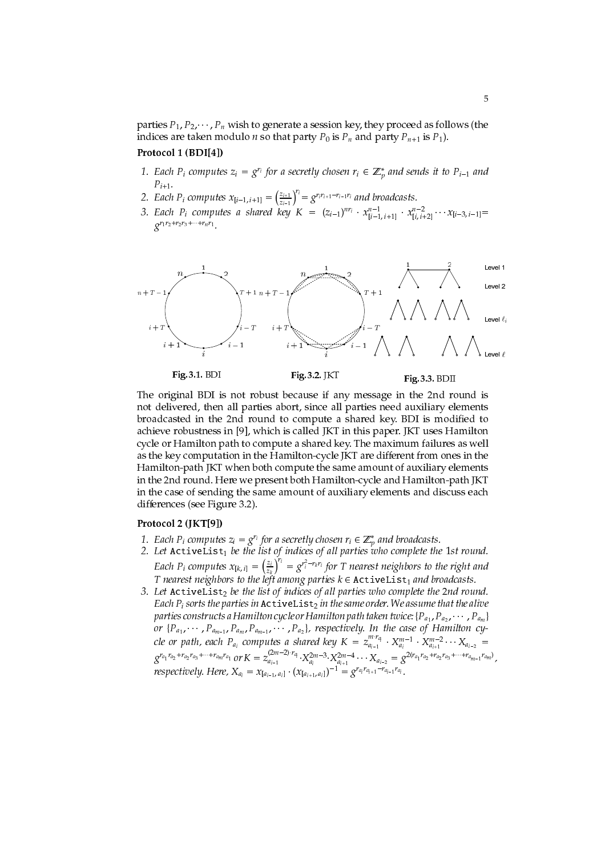parties  $P_1, P_2, \dots, P_n$  wish to generate a session key, they proceed as follows (the indices are taken modulo *n* so that party  $P_0$  is  $P_n$  and party  $P_{n+1}$  is  $P_1$ ).

### Protocol 1 (BDI[4])

- 1. Each  $P_i$  computes  $z_i = g^{r_i}$  for a secretly chosen  $r_i \in \mathbb{Z}_p^*$  and sends it to  $P_{i-1}$  and  $P_{i+1}$ .
- 2. Each  $P_i$  computes  $x_{[i-1,i+1]} = \left(\frac{z_{i+1}}{z_{i-1}}\right)^{r_i} = g^{r_ir_{i+1} r_{i-1}r_i}$  and broadcasts.
- 3. Each  $P_i$  computes a shared key  $K = (z_{i-1})^{n r_i} \cdot x_{[i-1, i+1]}^{n-1} \cdot x_{[i, i+2]}^{n-2} \cdots x_{[i-3, i-1]} =$  $2^{r_1r_2+r_2r_3+\cdots+r_n r_1}$



The original BDI is not robust because if any message in the 2nd round is not delivered, then all parties abort, since all parties need auxiliary elements broadcasted in the 2nd round to compute a shared key. BDI is modified to achieve robustness in [9], which is called JKT in this paper. JKT uses Hamilton cycle or Hamilton path to compute a shared key. The maximum failures as well as the key computation in the Hamilton-cycle JKT are different from ones in the Hamilton-path JKT when both compute the same amount of auxiliary elements in the 2nd round. Here we present both Hamilton-cycle and Hamilton-path JKT in the case of sending the same amount of auxiliary elements and discuss each differences (see Figure 3.2).

### Protocol 2 (JKT[9])

- 1. Each  $P_i$  computes  $z_i = g^{r_i}$  for a secretly chosen  $r_i \in \mathbb{Z}_p^*$  and broadcasts.
- 2. Let Activelist<sub>1</sub> be the list of indices of all parties who complete the 1st round. Et Recrivence  $\sum_{k=1}^{n}$  or  $\sum_{k=1}^{n}$  or  $\sum_{k=1}^{n} r_k r_i$  for T nearest neighbors to the right and T nearest neighbors to the left among parties  $k \in$  ActiveList<sub>1</sub> and broadcasts.
- 3. Let ActiveList<sub>2</sub> be the list of indices of all parties who complete the 2nd round. Each  $P_i$  sorts the parties in  $\texttt{ActiveList}_2$  in the same order. We assume that the alive parties constructs a Hamilton cycle or Hamilton path taken twice: { $P_{a_1}, P_{a_2}, \cdots, P_{a_m}$ } or  $\{P_{a_1}, \dots, P_{a_{m-1}}, P_{a_m}, P_{a_{m-1}}, \dots, P_{a_2}\}$ , respectively. In the case of Hamilton cy-<br>cle or path, each  $P_{a_i}$  computes a shared key  $K = z_{a_{i-1}}^{m \cdot r_{a_i}} \cdot X_{a_i}^{m-1} \cdot X_{a_{i+1}}^{m \cdot r_{a_2} + r_{a_2} + r_{a_2} + r_{a_2} + r_{a_2} + r$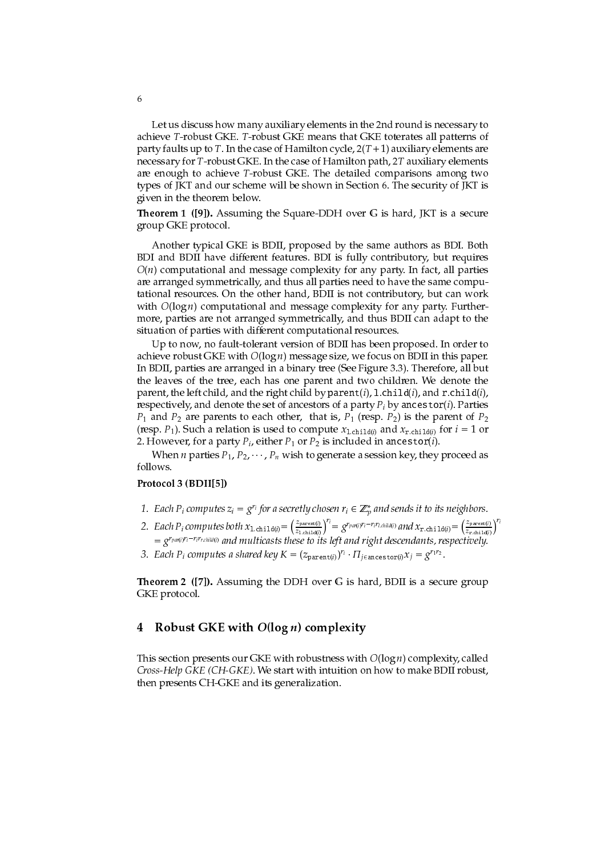Let us discuss how many auxiliary elements in the 2nd round is necessary to achieve T-robust GKE. T-robust GKE means that GKE toterates all patterns of party faults up to T. In the case of Hamilton cycle,  $2(T + 1)$  auxiliary elements are necessary for T-robust GKE. In the case of Hamilton path, 2T auxiliary elements are enough to achieve T-robust GKE. The detailed comparisons among two types of JKT and our scheme will be shown in Section 6. The security of JKT is given in the theorem below.

**Theorem 1** ([9]). Assuming the Square-DDH over G is hard, JKT is a secure group GKE protocol.

Another typical GKE is BDII, proposed by the same authors as BDI. Both BDI and BDII have different features. BDI is fully contributory, but requires  $O(n)$  computational and message complexity for any party. In fact, all parties are arranged symmetrically, and thus all parties need to have the same computational resources. On the other hand, BDII is not contributory, but can work with  $O(\log n)$  computational and message complexity for any party. Furthermore, parties are not arranged symmetrically, and thus BDII can adapt to the situation of parties with different computational resources.

Up to now, no fault-tolerant version of BDII has been proposed. In order to achieve robust GKE with  $O(\log n)$  message size, we focus on BDII in this paper. In BDII, parties are arranged in a binary tree (See Figure 3.3). Therefore, all but the leaves of the tree, each has one parent and two children. We denote the parent, the left child, and the right child by parent(i),  $l$  child(i), and r.child(i), respectively, and denote the set of ancestors of a party  $P_i$  by ancestor(i). Parties  $P_1$  and  $P_2$  are parents to each other, that is,  $P_1$  (resp.  $P_2$ ) is the parent of  $P_2$ (resp.  $P_1$ ). Such a relation is used to compute  $x_{1 \text{.child}(i)}$  and  $x_{r \text{.child}(i)}$  for  $i = 1$  or 2. However, for a party  $P_i$ , either  $P_1$  or  $P_2$  is included in ancestor(*i*).

When *n* parties  $P_1$ ,  $P_2$ ,  $\cdots$ ,  $P_n$  wish to generate a session key, they proceed as follows.

### Protocol 3 (BDII[5])

- 1. Each  $P_i$  computes  $z_i = g^{r_i}$  for a secretly chosen  $r_i \in \mathbb{Z}_n^*$  and sends it to its neighbors.
- 2. Each  $P_i$  computes both  $x_{1.\text{child}(i)} = \left(\frac{z_{\text{parent}(i)}}{z_{1.\text{child}(i)}}\right)^{r_i} = g^{r_{\text{part}(i)}r_i r_i r_{i.\text{child}(i)}}$  and  $x_{\text{r.child}(i)} = \left(\frac{z_{\text{parent}(i)}}{z_{\text{r.child}(i)}}\right)^{r_i}$ <br>=  $g^{r_{\text{par}(i)}r_i r_i r_{i.\text{child}(i)}}$  and multicasts these to its left and r
- 3. Each P<sub>i</sub> computes a shared key  $K = (z_{\text{parent}(i)})^{r_i} \cdot \Pi_{j \in \text{ancestor}(i)} x_j = g^{r_1 r_2}$ .

**Theorem 2** ([7]). Assuming the DDH over G is hard, BDII is a secure group GKE protocol.

#### 4 Robust GKE with  $O(\log n)$  complexity

This section presents our GKE with robustness with  $O(\log n)$  complexity, called Cross-Help GKE (CH-GKE). We start with intuition on how to make BDII robust, then presents CH-GKE and its generalization.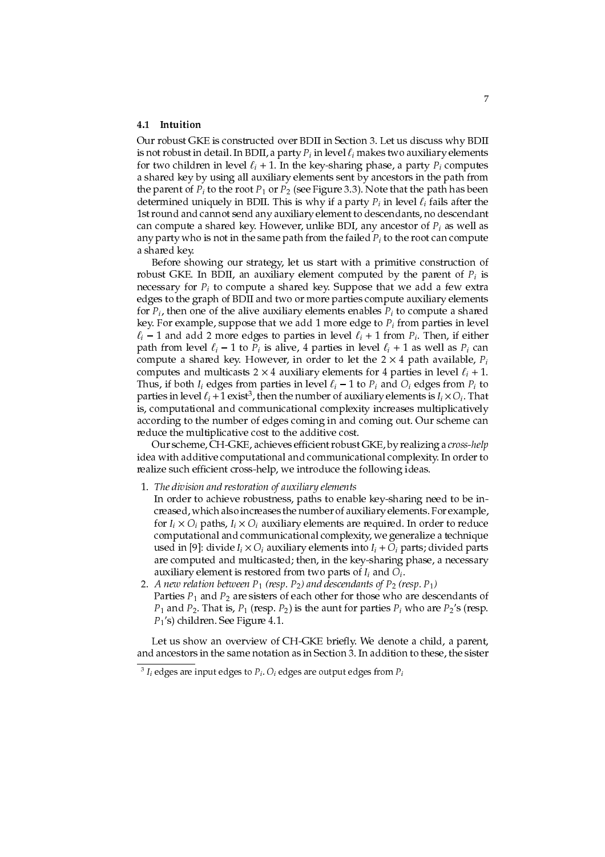### 4.1 Intuition

Our robust GKE is constructed over BDII in Section 3. Let us discuss why BDII is not robust in detail. In BDII, a party  $P_i$  in level  $\ell_i$  makes two auxiliary elements for two children in level  $\ell_i$  + 1. In the key-sharing phase, a party  $P_i$  computes a shared key by using all auxiliary elements sent by ancestors in the path from the parent of  $P_i$  to the root  $P_1$  or  $P_2$  (see Figure 3.3). Note that the path has been determined uniquely in BDII. This is why if a party  $P_i$  in level  $\ell_i$  fails after the 1st round and cannot send any auxiliary element to descendants, no descendant can compute a shared key. However, unlike BDI, any ancestor of  $P_i$  as well as any party who is not in the same path from the failed  $P_i$  to the root can compute a shared key

Before showing our strategy, let us start with a primitive construction of robust GKE. In BDII, an auxiliary element computed by the parent of  $P_i$  is necessary for  $P_i$  to compute a shared key. Suppose that we add a few extra edges to the graph of BDII and two or more parties compute auxiliary elements for  $P_i$ , then one of the alive auxiliary elements enables  $P_i$  to compute a shared key. For example, suppose that we add 1 more edge to  $P_i$  from parties in level  $\ell_i$  – 1 and add 2 more edges to parties in level  $\ell_i$  + 1 from  $P_i$ . Then, if either path from level  $\ell_i$  – 1 to  $P_i$  is alive, 4 parties in level  $\ell_i$  + 1 as well as  $P_i$  can compute a shared key. However, in order to let the  $2 \times 4$  path available,  $P_i$ computes and multicasts 2  $\times$  4 auxiliary elements for 4 parties in level  $\ell_i$  + 1. Thus, if both  $I_i$  edges from parties in level  $\ell_i - 1$  to  $P_i$  and  $O_i$  edges from  $P_i$  to parties in level  $\ell_i$  + 1 exist<sup>3</sup>, then the number of auxiliary elements is  $I_i \times O_i$ . That is, computational and communicational complexity increases multiplicatively according to the number of edges coming in and coming out. Our scheme can reduce the multiplicative cost to the additive cost.

Our scheme, CH-GKE, achieves efficient robust GKE, by realizing a cross-help idea with additive computational and communicational complexity. In order to realize such efficient cross-help, we introduce the following ideas.

- 1. The division and restoration of auxiliary elements
- In order to achieve robustness, paths to enable key-sharing need to be increased, which also increases the number of auxiliary elements. For example, for  $I_i \times O_i$  paths,  $I_i \times O_i$  auxiliary elements are required. In order to reduce computational and communicational complexity, we generalize a technique used in [9]: divide  $I_i \times O_i$  auxiliary elements into  $I_i + O_i$  parts; divided parts are computed and multicasted; then, in the key-sharing phase, a necessary auxiliary element is restored from two parts of  $I_i$  and  $O_i$ .
- 2. A new relation between  $P_1$  (resp.  $P_2$ ) and descendants of  $P_2$  (resp.  $P_1$ ) Parties  $P_1$  and  $P_2$  are sisters of each other for those who are descendants of  $P_1$  and  $P_2$ . That is,  $P_1$  (resp.  $P_2$ ) is the aunt for parties  $P_i$  who are  $P_2$ 's (resp.  $P_1$ 's) children. See Figure 4.1.

Let us show an overview of CH-GKE briefly. We denote a child, a parent, and ancestors in the same notation as in Section 3. In addition to these, the sister

 $^{-3}$  I<sub>i</sub> edges are input edges to  $P_i$ .  $O_i$  edges are output edges from  $P_i$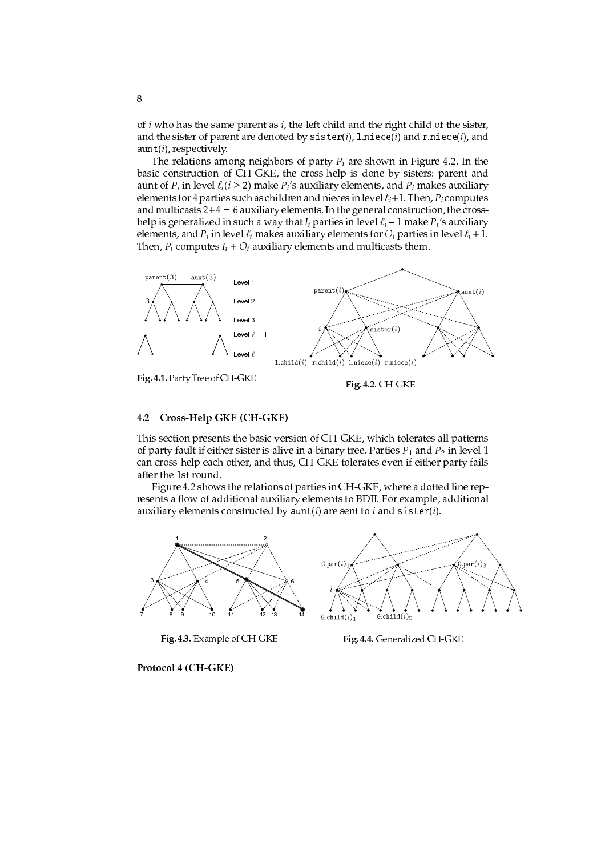of *i* who has the same parent as *i*, the left child and the right child of the sister, and the sister of parent are denoted by  $sister(i)$ , l.niece(i) and r.niece(i), and  $a$ unt $(i)$ , respectively.

The relations among neighbors of party  $P_i$  are shown in Figure 4.2. In the basic construction of CH-GKE, the cross-help is done by sisters: parent and aunt of  $P_i$  in level  $\ell_i$ ( $i \geq 2$ ) make  $P_i$ 's auxiliary elements, and  $P_i$  makes auxiliary elements for 4 parties such as children and nieces in level  $\ell_i$ +1. Then,  $P_i$  computes and multicasts  $2+4=6$  auxiliary elements. In the general construction, the crosshelp is generalized in such a way that  $I_i$  parties in level  $\ell_i$  – 1 make  $P_i$ 's auxiliary elements, and  $P_i$  in level  $\ell_i$  makes auxiliary elements for  $O_i$  parties in level  $\ell_i$  + 1. Then,  $P_i$  computes  $I_i + O_i$  auxiliary elements and multicasts them.



Fig. 4.1. Party Tree of CH-GKE

Fig. 4.2. CH-GKE

#### $4.2$ Cross-Help GKE (CH-GKE)

This section presents the basic version of CH-GKE, which tolerates all patterns of party fault if either sister is alive in a binary tree. Parties  $P_1$  and  $P_2$  in level 1 can cross-help each other, and thus, CH-GKE tolerates even if either party fails after the 1st round.

Figure 4.2 shows the relations of parties in CH-GKE, where a dotted line represents a flow of additional auxiliary elements to BDII. For example, additional auxiliary elements constructed by  $\text{aunt}(i)$  are sent to i and  $\text{sister}(i)$ .



Fig. 4.3. Example of CH-GKE

Fig. 4.4. Generalized CH-GKE

Protocol 4 (CH-GKE)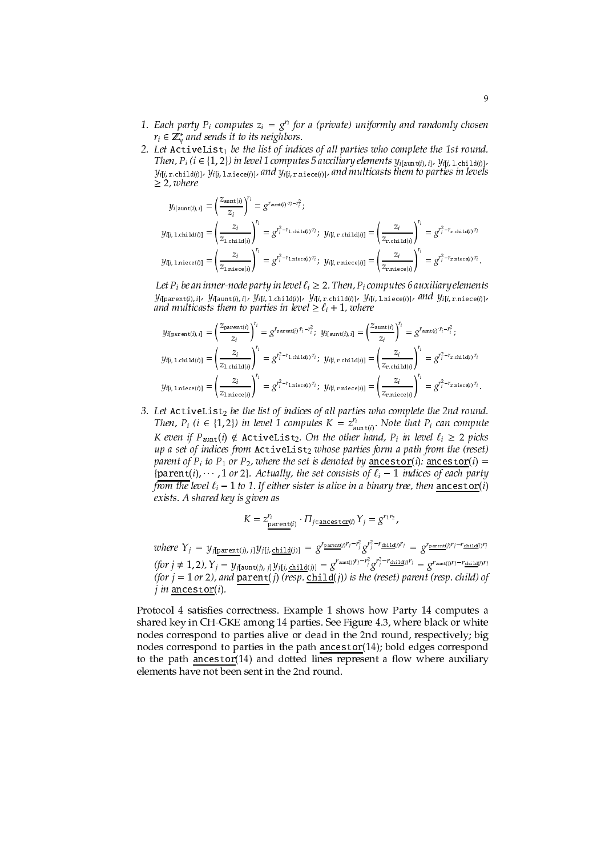- 1. Each party  $P_i$  computes  $z_i = g^{r_i}$  for a (private) uniformly and randomly chosen  $r_i \in \mathbb{Z}_a^*$  and sends it to its neighbors.
- 2. Let ActiveList<sub>1</sub> be the list of indices of all parties who complete the 1st round. Then,  $P_i$  ( $i \in \{1, 2\}$ ) in level 1 computes 5 auxiliary elements  $y_{i| \text{aunt}(i), i}$ ,  $y_{i|i}$ , 1. child(i)],  $y_{i|i, \text{ r.child}(i)|}, y_{i|i, \text{ 1.niece}(i)|},$  and  $y_{i|i, \text{ r.niece}(i)|}$ , and multicasts them to parties in levels  $\geq$  2, where

$$
y_{i\left(\text{aunt}(i),i\right)} = \left(\frac{z_{\text{aunt}(i)}}{z_i}\right)^{r_i} = g^{r_{\text{aunt}(i)}\cdot r_i - r_i^2};
$$
  
\n
$$
y_{i\left(i, 1 \text{ chid}(i)\right)} = \left(\frac{z_i}{z_{1 \text{ chid}(i)}}\right)^{r_i} = g^{r_i^2 - r_{1 \text{ chid}(i)} \cdot r_i}; \quad y_{i\left(i, r \text{ chid}(i)\right)} = \left(\frac{z_i}{z_{r \text{ chid}(i)}}\right)^{r_i} = g^{r_i^2 - r_{r \text{ chid}(i)} \cdot r_i}
$$
  
\n
$$
y_{i\left(i, 1 \text{ miece}(i)\right)} = \left(\frac{z_i}{z_{1 \text{ miece}(i)}}\right)^{r_i} = g^{r_i^2 - r_{1 \text{ miece}(i)} \cdot r_i}; \quad y_{i\left(i, r \text{ miece}(i)\right)} = \left(\frac{z_i}{z_{r \text{ miece}(i)}}\right)^{r_i} = g^{r_i^2 - r_{r \text{ miece}(i)} \cdot r_i}.
$$

Let  $P_i$  be an inner-node party in level  $\ell_i \geq 2$ . Then,  $P_i$  computes 6 auxiliary elements  $y_{i[\texttt{parent}(i),\;i]},\; y_{i[\texttt{aunt}(i),\;i]},\; y_{i[i,1.\texttt{child}(i)]},\; y_{i[i,\;r.\texttt{child}(i)]},\; y_{i[i,1.\texttt{miece}(i)]},\; \textit{and}\; \; y_{i[i,\;r.\texttt{miece}(i)]},$ and multicasts them to parties in level  $\geq \ell_i + 1$ , where

$$
y_{\text{if}(\lambda,1,\text{chi})}(i,j) = \left(\frac{z_{\text{parent}(i)}}{z_i}\right)^{r_i} = g^{r_{\text{parent}(i)}r_i - r_i^2}; \quad y_{\text{if}(\lambda,1)} = \left(\frac{z_{\text{ant}(i)}}{z_i}\right)^{r_i} = g^{r_{\text{ant}(i)}(r_i - r_i^2};
$$
\n
$$
y_{\text{if}(\lambda,1,\text{chi})}(i,j) = \left(\frac{z_i}{z_{1,\text{chi}(\lambda(i))}}\right)^{r_i} = g^{r_i^2 - r_{1,\text{chi}(\lambda(i))}r_i}; \quad y_{\text{if}(\lambda,1,\text{chi}(\lambda))} = \left(\frac{z_i}{z_{\text{r,chi}(\lambda(i))}}\right)^{r_i} = g^{r_i^2 - r_{\text{r,chi}(\lambda(i))}r_i}
$$
\n
$$
y_{\text{if}(\lambda,1,\text{min}(\text{det}(i)))} = \left(\frac{z_i}{z_{1,\text{min}(\text{det}(i))}}\right)^{r_i} = g^{r_i^2 - r_{1,\text{min}(\text{det}(i))}r_i}; \quad y_{\text{if}(\lambda,\text{r,min}(\text{det}(i)))} = \left(\frac{z_i}{z_{\text{r,min}(\text{det}(i))}}\right)^{r_i} = g^{r_i^2 - r_{\text{r,min}(\text{det}(i))}r_i}.
$$

3. Let  $\text{ActiveList}_2$  be the list of indices of all parties who complete the 2nd round. Then,  $P_i$  ( $i \in \{1,2\}$ ) in level 1 computes  $K = z_{\text{aunt}(i)}^{r_i}$ . Note that  $P_i$  can compute K even if  $P_{\text{aunt}}(i) \notin$  ActiveList<sub>2</sub>. On the other hand,  $P_i$  in level  $\ell_i \geq 2$  picks up a set of indices from ActiveList<sub>2</sub> whose parties form a path from the (reset) parent of  $P_i$  to  $P_1$  or  $P_2$ , where the set is denoted by ancestor(i): ancestor(i) = {parent(i),  $\cdots$ , 1 or 2}. Actually, the set consists of  $\ell_i - 1$  indices of each party from the level  $\ell_i$  – 1 to 1. If either sister is alive in a binary tree, then ancestor(i) exists. A shared key is given as

$$
K = z_{\frac{\text{parent}(i)}{2}}^{r_i} \cdot \Pi_{j \in \frac{\text{measurement}(i)}{2}} Y_j = g^{r_1 r_2},
$$

*where*  $Y_j = y_{j[\text{parent}(j), j]} y_{j[j, \text{child}(j)]} = g^{r_{\text{parent}(j)}r_j - r_j^2} g^{r_j^2 - r_{\text{child}(j)}r_j} = g^{r_{\text{parent}(j)}r_j - r_{\text{child}(j)}r_j}$ (for  $j \neq 1, 2$ ),  $Y_j = y_{j|\text{dunt}(j), j|} y_{j|i, \text{child}(j)|} = g^{r_{\text{dunt}(j)}r_j - r_j^2} g^{r_j^2 - r_{\text{child}(j)}r_j} = g^{r_{\text{aunt}(j)}r_j - r_{\text{child}(j)}r_j}$ <br>(for  $j = 1$  or 2), and  $\frac{\text{parent}(j) \cdot r_j - r_{\text{child}(j)} \cdot r_j}{\text{length}(j) \cdot r_j}$  are the (reset) parent (resp. child  $j$  in ancestor $(i)$ .

Protocol 4 satisfies correctness. Example 1 shows how Party 14 computes a shared key in CH-GKE among 14 parties. See Figure 4.3, where black or white nodes correspond to parties alive or dead in the 2nd round, respectively; big nodes correspond to parties in the path ancestor(14); bold edges correspond to the path ancestor(14) and dotted lines represent a flow where auxiliary elements have not been sent in the 2nd round.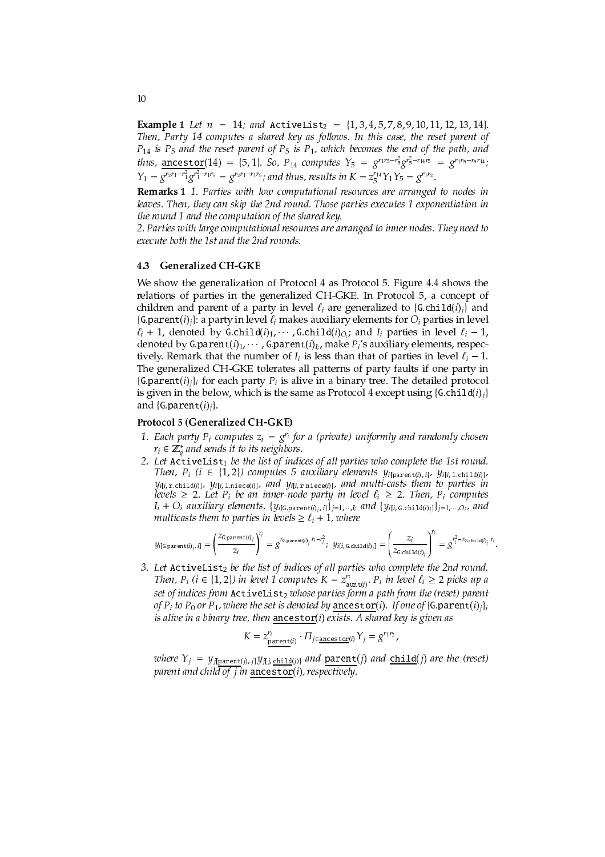**Example 1** Let  $n = 14$ ; and ActiveList<sub>2</sub> = {1, 3, 4, 5, 7, 8, 9, 10, 11, 12, 13, 14}. Then, Party 14 computes a shared key as follows. In this case, the reset parent of  $P_{14}$  is  $P_5$  and the reset parent of  $P_5$  is  $P_1$ , which becomes the end of the path, and *thus,* ancestor(14) = {5, 1}. So, P<sub>14</sub> computes  $Y_5 = g^{r_1 r_5 - r_5^2} g^{r_5^2 - r_{14} r_5} = g^{r_1 r_5 - r_5 r_{14}};$  $Y_1 = g^{r_2 r_1 - r_1^2} g^{r_1^2 - r_1 r_5} = g^{r_2 r_1 - r_1 r_5}$ ; and thus, results in  $K = z_5^{r_1 q} Y_1 Y_5 = g^{r_1 r_2}$ .

Remarks 1 1. Parties with low computational resources are arranged to nodes in leaves. Then, they can skip the 2nd round. Those parties executes 1 exponentiation in the round 1 and the computation of the shared key.

2. Parties with large computational resources are arranged to inner nodes. They need to execute both the 1st and the 2nd rounds.

#### **Generalized CH-GKE** 4.3

We show the generalization of Protocol 4 as Protocol 5. Figure 4.4 shows the relations of parties in the generalized CH-GKE. In Protocol 5, a concept of children and parent of a party in level  $\ell_i$  are generalized to {G.child(i)<sub>i</sub>} and {G.parent(i)<sub>i</sub>}: a party in level  $\ell_i$  makes auxiliary elements for  $O_i$  parties in level  $\ell_i$  + 1, denoted by G.child( $i$ )<sub>1</sub>,  $\cdots$ , G.child( $i$ )<sub>O<sub>i</sub></sub>; and  $I_i$  parties in level  $\ell_i$  – 1, denoted by G.parent(i)<sub>1</sub>,  $\cdots$ , G.parent(i)<sub>I<sub>i</sub>, make P<sub>i</sub>'s auxiliary elements, respec-</sub> tively. Remark that the number of  $I_i$  is less than that of parties in level  $\ell_i - 1$ . The generalized CH-GKE tolerates all patterns of party faults if one party in {G.parent(i)<sub>i</sub>} for each party  $P_i$  is alive in a binary tree. The detailed protocol is given in the below, which is the same as Protocol 4 except using  $\{G {\text{.child}(i)}_j\}$ and  $\{G.parent(i)_i\}$ .

### Protocol 5 (Generalized CH-GKE)

- 1. Each party  $P_i$  computes  $z_i = g^{r_i}$  for a (private) uniformly and randomly chosen  $r_i \in \mathbb{Z}_a^*$  and sends it to its neighbors.
- 2. Let ActiveList1 be the list of indices of all parties who complete the 1st round. Then,  $P_i$  (i  $\in$  {1,2}) computes 5 auxiliary elements  $y_{i|parent(i), i}$ ,  $y_{i|i, 1, child(i)|}$ ,  $y_{i[i, \text{ r.child}(i)]}, y_{i[i, 1, \text{ n.iece}(i)]},$  and  $y_{i[i, \text{ r.n.iece}(i)]},$  and multi-casts them to parties in levels  $\geq 2$ . Let  $P_i$  be an inner-node party in level  $\ell_i \geq 2$ . Then,  $P_i$  computes  $I_i + O_i$  auxiliary elements,  $\{y_{i|G,parent(i), i}\}_{j=1,\dots,I_i}$  and  $\{y_{i|i, G,child(i), j}\}_{j=1,\dots,Q_i}$  and multicasts them to parties in levels  $\geq \ell_i + 1$ , where

$$
y_{i \text{[Gparent}(i)_j, i]} = \left(\frac{z_{\text{Gparent}(i)_j}}{z_i}\right)^{r_i} = g^{r_{\text{Gparent}(i)_j \cdot r_i - r_i^2}; y_{i \text{[i, Gchi1d}(i)_j]}} = \left(\frac{z_i}{z_{\text{Gchild}(i)_j}}\right)^{r_i} = g^{r_i^2 - r_{\text{Gchild}(i)_j} \cdot r_i}
$$

3. Let ActiveList<sub>2</sub> be the list of indices of all parties who complete the 2nd round. Then,  $P_i$  ( $i \in \{1,2\}$ ) in level 1 computes  $K = z_{\text{aunt}(i)}^r$ .  $P_i$  in level  $\ell_i \ge 2$  picks up a set of indices from ActiveList<sub>2</sub> whose parties form a path from the (reset) parent of  $P_i$  to  $P_0$  or  $P_1$ , where the set is denoted by ancestor(i). If one of {G.parent(i)<sub>j</sub>} is alive in a binary tree, then ancestor(i) exists. A shared key is given as

$$
K=z_{\texttt{parent}(i)}^{r_i}\cdot \Pi_{j\in \texttt{ancestor}(i)} Y_j=g^{r_1r_2},
$$

where  $Y_j = y_{j[parent(j), j]}y_{j[i, child(j)]}$  and parent(j) and  $child(j)$  are the (reset) parent and child of  $j$  in ancestor(i), respectively.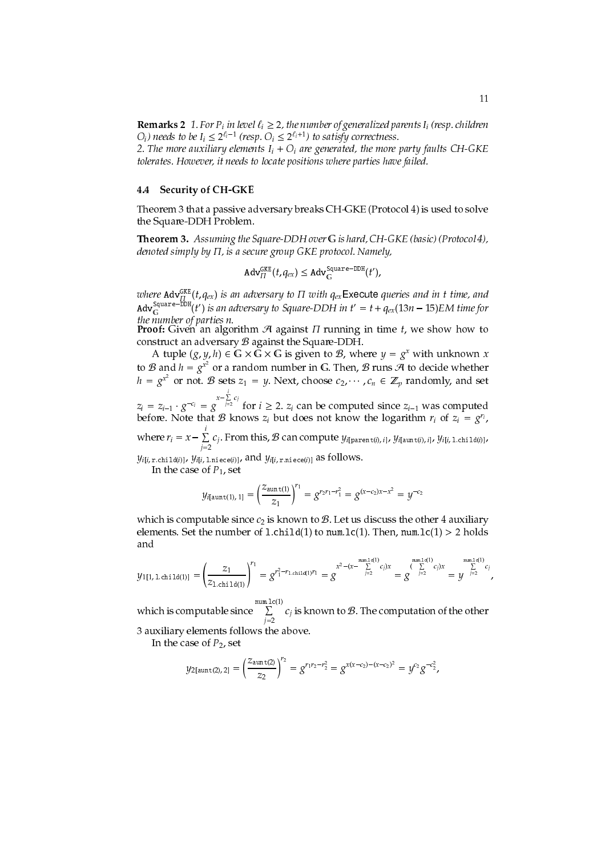**Remarks 2** 1. For  $P_i$  in level  $\ell_i \geq 2$ , the number of generalized parents  $I_i$  (resp. children  $O_i$ ) needs to be  $I_i \leq 2^{\ell_i-1}$  (resp.  $O_i \leq 2^{\ell_i+1}$ ) to satisfy correctness.

2. The more auxiliary elements  $I_i + O_i$  are generated, the more party faults CH-GKE tolerates. However, it needs to locate positions where parties have failed.

#### **Security of CH-GKE** 4.4

Theorem 3 that a passive adversary breaks CH-GKE (Protocol 4) is used to solve the Square-DDH Problem.

Theorem 3. Assuming the Square-DDH over G is hard, CH-GKE (basic) (Protocol 4), denoted simply by  $\Pi$ , is a secure group GKE protocol. Namely,

$$
\mathsf{Adv}_{\Pi}^{\mathsf{GKE}}(t, q_{ex}) \leq \mathsf{Adv}_{\mathbb{G}}^{\mathsf{Square-DDH}}(t'),
$$

where  $\text{Adv}_{\Pi}^{\text{GKE}}(t, q_{ex})$  is an adversary to  $\Pi$  with  $q_{ex}$ Execute queries and in t time, and  $\text{Adv}_{\text{G}}^{\text{Square-DDH}}(t')$  is an adversary to Square-DDH in  $t' = t + q_{ex}(13n - 15)$ EM time for the number of parties n.

**Proof:** Given an algorithm  $A$  against  $\Pi$  running in time  $t$ , we show how to construct an adversary  $B$  against the Square-DDH.

A tuple  $(g, y, h) \in \mathbb{G} \times \mathbb{G} \times \mathbb{G}$  is given to  $\mathcal{B}$ , where  $y = g^x$  with unknown x to B and  $h = g^{x^2}$  or a random number in G. Then, B runs A to decide whether  $h = g^{x^2}$  or not. B sets  $z_1 = y$ . Next, choose  $c_2, \dots, c_n \in \mathbb{Z}_p$  randomly, and set

 $z_i = z_{i-1} \cdot g^{-c_i} = g^{x - \sum_{j=2}^{i} c_j}$  for  $i \ge 2$ .  $z_i$  can be computed since  $z_{i-1}$  was computed before. Note that  $B$  knows  $z_i$  but does not know the logarithm  $r_i$  of  $z_i = g^{r_i}$ ,

where  $r_i = x - \sum_{j=2}^{r} c_j$ . From this, B can compute  $y_{i[\text{parent}(i), i]}, y_{i[\text{aunt}(i), i]}, y_{i[i, 1 \text{child}(i)]},$ 

 $y_{i[i, r, child(i)]}, y_{i[i, 1, niece(i)]}$ , and  $y_{i[i, r, niece(i)]}$  as follows.

In the case of  $P_1$ , set

$$
y_{i\left(\text{aunt}(1), 1\right]} = \left(\frac{z_{\text{aunt}(1)}}{z_1}\right)^{r_1} = g^{r_2 r_1 - r_1^2} = g^{(x - c_2)x - x^2} = y^{-c_2}
$$

which is computable since  $c_2$  is known to  $B$ . Let us discuss the other 4 auxiliary elements. Set the number of 1.child(1) to num.1c(1). Then, num.1c(1) > 2 holds and

$$
y_{1[1, 1 \text{child}(1)]} = \left(\frac{z_1}{z_{1 \text{child}(1)}}\right)^{r_1} = g^{r_1^2 - r_{1 \text{child}(1)} r_1} = g^{x^2 - (x - \sum_{j=2}^{\text{num.1c}(1)} c_j)x} = g^{\min_{j=2}^{\text{num.1c}(1)} c_j)x} = y^{\min_{j=2}^{\text{num.1c}(1)} c_j}
$$

which is computable since  $\sum_{i=2}^{\text{num.lc(1)}} c_i$  is known to  $\mathcal{B}$ . The computation of the other 3 auxiliary elements follows the above.

In the case of  $P_2$ , set

$$
y_{2\left[\operatorname{aunt}(2),2\right]} = \left(\frac{z_{\operatorname{aunt}(2)}}{z_2}\right)^{r_2} = g^{r_1r_2 - r_2^2} = g^{x(x-c_2)-(x-c_2)^2} = y^{c_2}g^{-c_2^2},
$$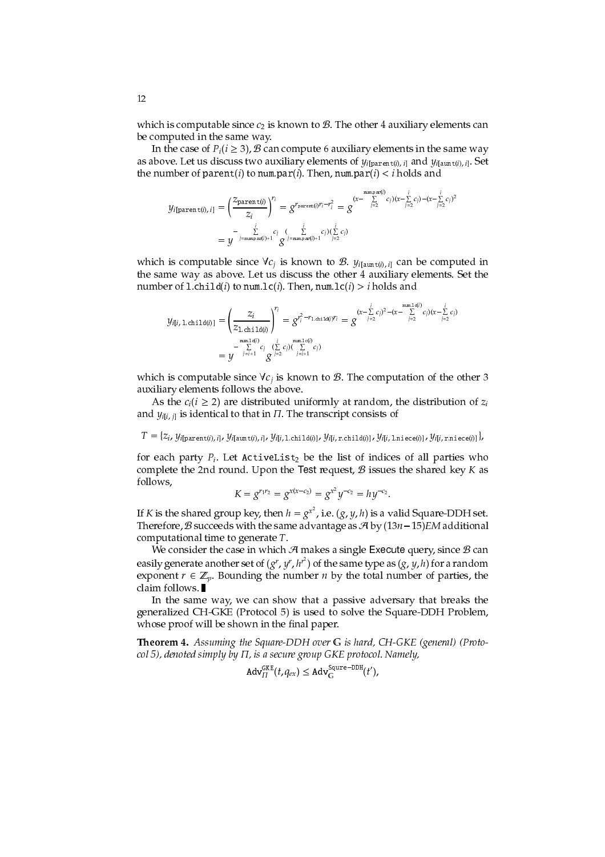which is computable since  $c_2$  is known to  $\mathcal{B}$ . The other 4 auxiliary elements can be computed in the same way.

In the case of  $P_i(i \geq 3)$ ,  $B$  can compute 6 auxiliary elements in the same way as above. Let us discuss two auxiliary elements of  $y_{i|parent(i), i|}$  and  $y_{i|aint(i), i|}$ . Set the number of parent(i) to num.par(i). Then, num.par(i)  $\langle i \rangle$  holds and

$$
y_{i[\text{parent}(i), i]} = \left(\frac{z_{\text{parent}(i)}}{z_i}\right)^{r_i} = g^{r_{\text{parent}(i)}r_i - r_i^2} = g^{(x - \sum_{j=2}^{\text{numpar}(i)} c_j)(x - \sum_{j=2}^i c_j) - (x - \sum_{j=2}^i c_j)^2}
$$

$$
= y^{-\sum_{j=\text{numpar}(i)+1}^i c_j} g^{(x_{\text{numpar}(i)+1} - x_j)(\sum_{j=2}^i c_j)}
$$

which is computable since  $\forall c_j$  is known to  $\mathcal{B}$ .  $y_{i| \text{aunt}(i), i]}$  can be computed in the same way as above. Let us discuss the other 4 auxiliary elements. Set the number of 1.child(*i*) to num.lc(*i*). Then, num.lc(*i*) > *i* holds and

$$
\mathcal{Y}_{i[i, 1 \text{ .chi1d}(i)]} = \left(\frac{z_i}{z_{1 \text{ .chi1d}(i)}}\right)^{r_i} = g^{r_i^2 - r_{1 \text{ .chi1d}(i)} r_i} = g^{(x - \sum_{j=2}^i c_j)^2 - (x - \sum_{j=2}^{\text{numn1c}(i)} c_j)(x - \sum_{j=2}^i c_j)} = \frac{y}{y}^{\min_{j=i+1}^{n(c)} c_j} \left(\sum_{j=1}^i c_j\right) \left(\sum_{j=i+1}^{\text{numn1c}(i)} c_j\right)
$$

which is computable since  $\forall c_j$  is known to  $\beta$ . The computation of the other 3 auxiliary elements follows the above.

As the  $c_i$  ( $i \ge 2$ ) are distributed uniformly at random, the distribution of  $z_i$ and  $y_{i[i, j]}$  is identical to that in  $\Pi$ . The transcript consists of

 $T = \{z_i, y_i | \text{parent}(i), i |, y_i | \text{aunt}(i), i |, y_i |, 1 \text{.child}(i) \}$ ,  $y_i | i, 1 \text{.child}(i) \}$ ,  $y_i | i, \text{r.child}(i) \}$ ,  $y_i | i, 1 \text{.$ 

for each party  $P_i$ . Let ActiveList<sub>2</sub> be the list of indices of all parties who complete the 2nd round. Upon the Test request,  $B$  issues the shared key K as follows,

$$
K = g^{r_1 r_2} = g^{x(x-c_2)} = g^{x^2} y^{-c_2} = hy^{-c_2}.
$$

If K is the shared group key, then  $h = g^{x^2}$ , i.e.  $(g, y, h)$  is a valid Square-DDH set. Therefore, B succeeds with the same advantage as  $\mathcal{A}$  by  $(13n-15)$  EM additional computational time to generate  $T$ .

We consider the case in which  $\mathcal A$  makes a single Execute query, since  $\mathcal B$  can easily generate another set of  $(g^r, y^r, h^{r^2})$  of the same type as  $(g, y, h)$  for a random exponent  $r \in \mathbb{Z}_p$ . Bounding the number *n* by the total number of parties, the claim follows.

In the same way, we can show that a passive adversary that breaks the generalized CH-GKE (Protocol 5) is used to solve the Square-DDH Problem, whose proof will be shown in the final paper.

**Theorem 4.** Assuming the Square-DDH over G is hard, CH-GKE (general) (Protocol 5), denoted simply by  $\Pi$ , is a secure group GKE protocol. Namely,

$$
\mathbf{Adv}_{\Pi}^{\mathsf{GKE}}(t,q_{ex}) \leq \mathbf{Adv}_{\mathbf{G}}^{\mathsf{Square-DDH}}(t'),
$$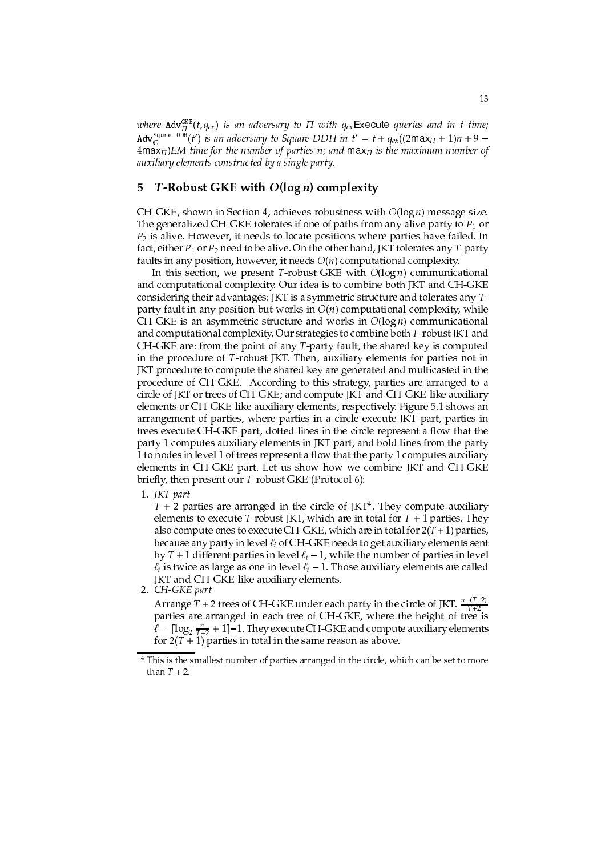where  $\text{Adv}_{\Pi}^{\text{GKE}}(t, q_{ex})$  is an adversary to  $\Pi$  with  $q_{ex}$ Execute queries and in t time; Adv<sup>Squre-DDH</sup>(t') is an adversary to Square-DDH in t' = t +  $q_{ex}$ ((2max<sub>II</sub> + 1)n + 9 –  $4\overline{\text{max}}_{\Pi}$ )EM time for the number of parties n; and  $\max_{\Pi}$  is the maximum number of auxiliary elements constructed by a single party.

#### T-Robust GKE with  $O(\log n)$  complexity 5

CH-GKE, shown in Section 4, achieves robustness with  $O(\log n)$  message size. The generalized CH-GKE tolerates if one of paths from any alive party to  $P_1$  or  $P_2$  is alive. However, it needs to locate positions where parties have failed. In fact, either  $P_1$  or  $P_2$  need to be alive. On the other hand, JKT tolerates any T-party faults in any position, however, it needs  $O(n)$  computational complexity.

In this section, we present T-robust GKE with  $O(\log n)$  communicational and computational complexity. Our idea is to combine both JKT and CH-GKE considering their advantages: JKT is a symmetric structure and tolerates any Tparty fault in any position but works in  $O(n)$  computational complexity, while CH-GKE is an asymmetric structure and works in  $O(\log n)$  communicational and computational complexity. Our strategies to combine both T-robust JKT and CH-GKE are: from the point of any T-party fault, the shared key is computed in the procedure of T-robust JKT. Then, auxiliary elements for parties not in JKT procedure to compute the shared key are generated and multicasted in the procedure of CH-GKE. According to this strategy, parties are arranged to a circle of JKT or trees of CH-GKE; and compute JKT-and-CH-GKE-like auxiliary elements or CH-GKE-like auxiliary elements, respectively. Figure 5.1 shows an arrangement of parties, where parties in a circle execute JKT part, parties in trees execute CH-GKE part, dotted lines in the circle represent a flow that the party 1 computes auxiliary elements in JKT part, and bold lines from the party 1 to nodes in level 1 of trees represent a flow that the party 1 computes auxiliary elements in CH-GKE part. Let us show how we combine JKT and CH-GKE briefly, then present our T-robust GKE (Protocol 6):

1. IKT part

 $T + 2$  parties are arranged in the circle of JKT<sup>4</sup>. They compute auxiliary elements to execute T-robust JKT, which are in total for  $T + 1$  parties. They also compute ones to execute CH-GKE, which are in total for  $2(T+1)$  parties, because any party in level  $\ell_i$  of CH-GKE needs to get auxiliary elements sent by  $T + 1$  different parties in level  $\ell_i - 1$ , while the number of parties in level  $\ell_i$  is twice as large as one in level  $\ell_i$  – 1. Those auxiliary elements are called JKT-and-CH-GKE-like auxiliary elements.

2. CH-GKE part

Arrange  $T$  + 2 trees of CH-GKE under each party in the circle of JKT.  $\frac{n-(T+2)}{T+2}$ parties are arranged in each tree of CH-GKE, where the height of tree is  $\ell = \lceil \log_2 \frac{n}{T+2} + 1 \rceil - 1$ . They execute CH-GKE and compute auxiliary elements for  $2(T + 1)$  parties in total in the same reason as above.

 $\,$  4 This is the smallest number of parties arranged in the circle, which can be set to more than  $T + 2$ .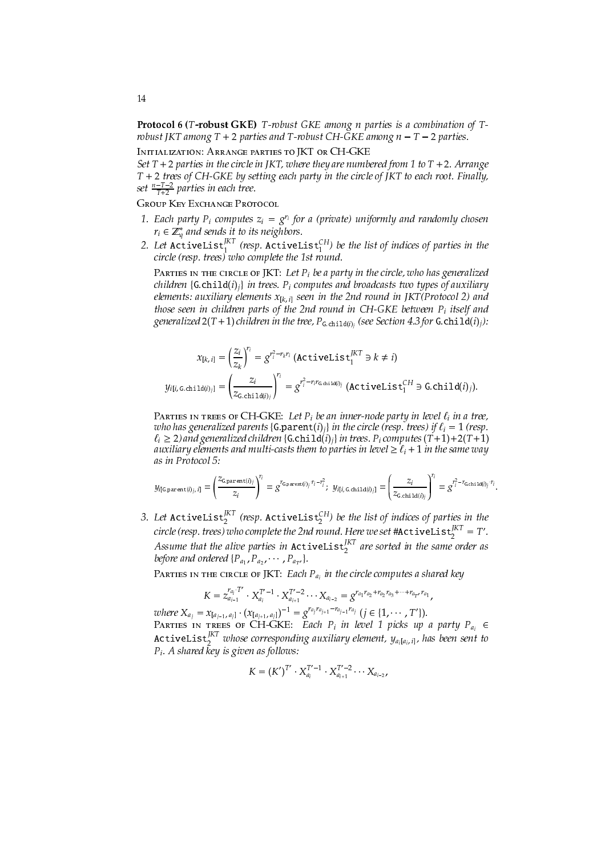**Protocol 6 (T-robust GKE)** T-robust GKE among *n* parties is a combination of Trobust JKT among  $T + 2$  parties and T-robust CH-GKE among  $n - T - 2$  parties.

INITIALIZATION: ARRANGE PARTIES TO JKT OR CH-GKE Set  $T + 2$  parties in the circle in JKT, where they are numbered from 1 to  $T + 2$ . Arrange T + 2 trees of CH-GKE by setting each party in the circle of JKT to each root. Finally, set  $\frac{n-T-2}{T+2}$  parties in each tree.

**GROUP KEY EXCHANGE PROTOCOL** 

- 1. Each party  $P_i$  computes  $z_i = g^{r_i}$  for a (private) uniformly and randomly chosen
- $r_i \in \mathbb{Z}_q^*$  and sends it to its neighbors.<br>2. Let ActiveList<sup>IKT</sup> (resp. ActiveList<sup>CH</sup>) be the list of indices of parties in the circle (resp. trees) who complete the 1st round.

PARTIES IN THE CIRCLE OF JKT: Let  $P_i$  be a party in the circle, who has generalized children {G.child(i)<sub>i</sub>} in trees.  $P_i$  computes and broadcasts two types of auxiliary elements: auxiliary elements  $x_{[k, i]}$  seen in the 2nd round in JKT(Protocol 2) and those seen in children parts of the 2nd round in CH-GKE between  $P_i$  itself and generalized  $2(T + 1)$  children in the tree,  $P_{\text{G,child}(i)_i}$  (see Section 4.3 for G.child(i)<sub>i</sub>):

$$
x_{[k, i]} = \left(\frac{z_i}{z_k}\right)^{r_i} = g^{r_i^2 - r_k r_i} \text{ (ActiveList}_1^{IKT} \ni k \neq i)
$$
\n
$$
y_{i[i, G\text{-child}(i)_j]} = \left(\frac{z_i}{z_{G\text{-child}(i)_j}}\right)^{r_i} = g^{r_i^2 - r_i r_{G\text{-child}(i)_j}} \text{ (ActiveList}_1^{CH} \ni G\text{-child}(i)_j)
$$

PARTIES IN TREES OF CH-GKE: Let  $P_i$  be an inner-node party in level  $\ell_i$  in a tree, who has generalized parents {G.parent(i)<sub>i</sub>} in the circle (resp. trees) if  $\ell_i = 1$  (resp.  $\ell_i \geq 2$ ) and generalized children {G.child(i)<sub>i</sub>} in trees. P<sub>i</sub> computes (T+1)+2(T+1) auxiliary elements and multi-casts them to parties in level  $\geq \ell_i + 1$  in the same way as in Protocol 5:

$$
\mathcal{Y}_{i \text{[Gparent}(i)_j,~i]} = \left(\frac{z_{\text{Gparent}(i)_j}}{z_i}\right)^{r_i} = g^{r_{\text{Gparent}(i)_j} \cdot r_i - r_i^2}; ~~\mathcal{Y}_{i \text{[}i, \text{G}, \text{chi1d}(i)_j]} = \left(\frac{z_i}{z_{\text{G}, \text{child}(i)_j}}\right)^{r_i} = g^{r_i^2 - r_{\text{G}, \text{child}(i)_j} \cdot r_i}
$$

3. Let ActiveList $_2^{[KT]}$  (resp. ActiveList $_2^{CH}$ ) be the list of indices of parties in the circle (resp. trees) who complete the 2nd round. Here we set #ActiveList<sup>JKT</sup> = T'. Assume that the alive parties in  $\texttt{ActiveList}_2^{JKT}$  are sorted in the same order as before and ordered  $\{P_{a_1}, P_{a_2}, \cdots, P_{a_{T'}}\}.$ 

PARTIES IN THE CIRCLE OF JKT: Each  $P_{a_i}$  in the circle computes a shared key

$$
K = z_{a_{i-1}}^{r_{a_i} \cdot T'} \cdot X_{a_i}^{T'-1} \cdot X_{a_{i+1}}^{T'-2} \cdots X_{a_{i-2}} = g^{r_{a_1} r_{a_2} + r_{a_2} r_{a_3} + \cdots + r_{a_{T'}} r_{a_1}},
$$

where  $X_{a_j} = x_{[a_{j-1}, a_j]} \cdot (x_{[a_{j+1}, a_j]})^{-1} = g^{r_{a_j} r_{a_{j+1}} - r_{a_{j-1}} r_{a_j}}$  ( $j \in \{1, \dots, T'\}$ ).<br>
PARTIES IN TREES OF CH-GKE: Each  $P_i$  in level 1 picks up a party  $P_{a_i} \in$ **ActiveList**<sup>IKT</sup> whose corresponding auxiliary element,  $y_{a_i[a_i, i]}$ , has been sent to  $P_i$ . A shared key is given as follows:

$$
K = (K')^{T'} \cdot X_{a_i}^{T'-1} \cdot X_{a_{i+1}}^{T'-2} \cdots X_{a_{i-2}}
$$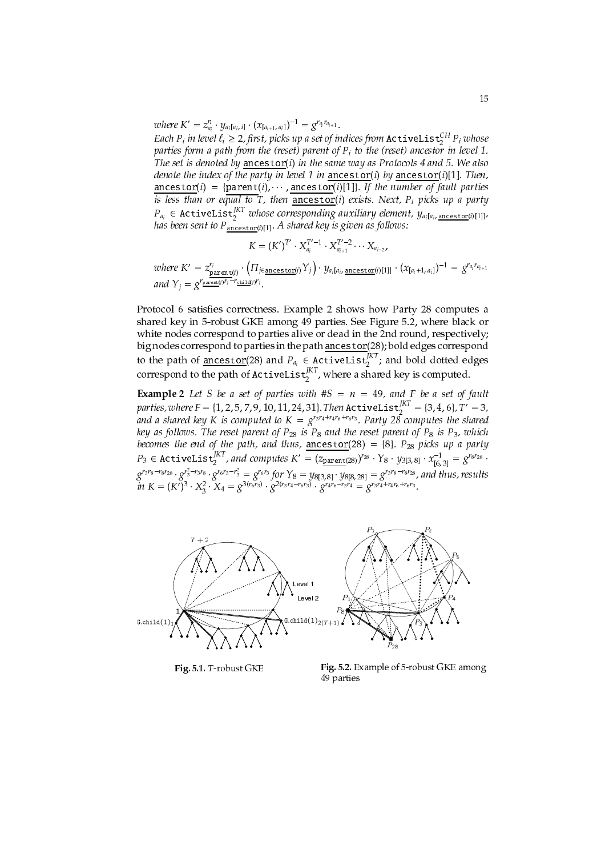where  $K' = z_{a_i}^{r_i} \cdot y_{a_i[a_i, i]} \cdot (x_{[a_{i+1}, a_i]})^{-1} = g^{r_{a_i} r_{a_{i+1}}}.$ 

Each  $P_i$  in level  $\ell_i \geq 2$ , first, picks up a set of indices from **ActiveList** ${}_{2}^{CH}$   $P_i$  whose parties form a path from the (reset) parent of  $P_i$  to the (reset) ancestor in level 1. The set is denoted by ancestor(i) in the same way as Protocols  $4$  and  $5$ . We also denote the index of the party in level 1 in ancestor(i) by ancestor(i)[1]. Then,  $\frac{\text{ancestor}(i)}{i} = \{ \frac{\text{parent}(i), \cdots, \frac{\text{ancestor}(i)[1]}{i}, \text{ if the number of fault parties} \}$ is less than or equal to T, then  $\frac{\text{arccsc}(v)}{\text{arccsc}(v)}$  exists. Next,  $P_i$  picks up a party  $P_{a_i} \in \text{ActiveList}_2^{\text{IKT}}$  whose corresponding auxiliary element,  $y_{a_i}$ [a<sub>i</sub>, <u>ancestor</u>(i)[1]], has been sent to  $P_{\text{ancestor}(i)[1]}$ .

$$
K = (K')^{T'} \cdot X_{a_i}^{T'-1} \cdot X_{a_{i+1}}^{T'-2} \cdots X_{a_{i-2}}
$$

where  $K' = z_{\frac{\text{parent}(i)}{\text{parent}} \cdot ( \prod_{j \in \text{ancestof}(i)} Y_j ) \cdot y_{a_i[a_i, \text{ancestof}(i)[1]]} \cdot (x_{[a_i+1, a_i]})^{-1} = g^{r_{a_i}r_{a_{i+1}}}$ <br>and  $Y_j = g^{\frac{r_{\text{parent}(i)}r_j - r_{\text{child}(i)}r_j}}.$ 

Protocol 6 satisfies correctness. Example 2 shows how Party 28 computes a shared key in 5-robust GKE among 49 parties. See Figure 5.2, where black or white nodes correspond to parties alive or dead in the 2nd round, respectively; big nodes correspond to parties in the path ancestor(28); bold edges correspond to the path of  $\frac{1}{\text{ancestor}}$  (28) and  $P_{a_i} \in \text{ActiveList}_{2}^{|KT|}$  and bold dotted edges correspond to the path of ActiveList<sup> $J_{X}^{KT}$ </sup>, where a shared key is computed.

**Example 2** Let S be a set of parties with  $#S = n = 49$ , and F be a set of fault parties, where  $F = \{1, 2, 5, 7, 9, 10, 11, 24, 31\}$ . Then  $\text{ActiveList}_{2}^{K} = \{3, 4, 6\}$ ,  $T' = 3$ , and a shared key K is computed to  $K = g^{r_3 r_4 + r_4 r_6 + r_6 r_3}$ . Party 28 computes the shared key as follows. The reset parent of  $P_{28}$  is  $P_8$  and the reset parent of  $P_8$  is  $P_3$ , which key as follows. The reset parent of  $r_{28}$  is  $r_8$  and the reset parent of  $r_8$  is  $r_3$ , which<br>becomes the end of the path, and thus,  $\frac{\text{ancestor}}{(28)} = \{8\}$ .  $P_{28}$  picks up a party<br> $P_3 \in \text{ActiveList}_{S}^{KT}$ , and computes



Fig. 5.1. T-robust GKE

Fig. 5.2. Example of 5-robust GKE among 49 parties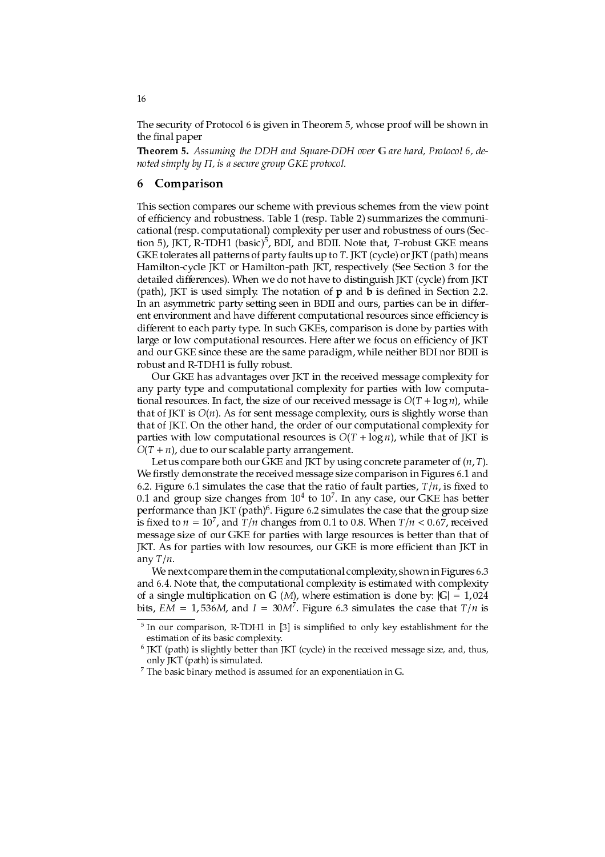The security of Protocol 6 is given in Theorem 5, whose proof will be shown in the final paper

Theorem 5. Assuming the DDH and Square-DDH over G are hard, Protocol 6, denoted simply by  $\Pi$ , is a secure group GKE protocol.

#### Comparison 6

This section compares our scheme with previous schemes from the view point of efficiency and robustness. Table 1 (resp. Table 2) summarizes the communicational (resp. computational) complexity per user and robustness of ours (Section 5), JKT, R-TDH1 (basic)<sup>5</sup>, BDI, and BDII. Note that, T-robust GKE means GKE tolerates all patterns of party faults up to T. JKT (cycle) or JKT (path) means Hamilton-cycle JKT or Hamilton-path JKT, respectively (See Section 3 for the detailed differences). When we do not have to distinguish JKT (cycle) from JKT (path), JKT is used simply. The notation of  $p$  and  $b$  is defined in Section 2.2. In an asymmetric party setting seen in BDII and ours, parties can be in different environment and have different computational resources since efficiency is different to each party type. In such GKEs, comparison is done by parties with large or low computational resources. Here after we focus on efficiency of JKT and our GKE since these are the same paradigm, while neither BDI nor BDII is robust and R-TDH1 is fully robust.

Our GKE has advantages over JKT in the received message complexity for any party type and computational complexity for parties with low computational resources. In fact, the size of our received message is  $O(T + \log n)$ , while that of JKT is  $O(n)$ . As for sent message complexity, ours is slightly worse than that of JKT. On the other hand, the order of our computational complexity for parties with low computational resources is  $O(T + \log n)$ , while that of JKT is  $O(T + n)$ , due to our scalable party arrangement.

Let us compare both our GKE and JKT by using concrete parameter of  $(n, T)$ . We firstly demonstrate the received message size comparison in Figures 6.1 and 6.2. Figure 6.1 simulates the case that the ratio of fault parties,  $T/n$ , is fixed to 0.1 and group size changes from  $10^4$  to  $10^7$ . In any case, our GKE has better performance than JKT (path)<sup>6</sup>. Figure 6.2 simulates the case that the group size is fixed to  $n = 10^7$ , and  $T/n$  changes from 0.1 to 0.8. When  $T/n < 0.67$ , received message size of our GKE for parties with large resources is better than that of JKT. As for parties with low resources, our GKE is more efficient than JKT in any  $T/n$ .

We next compare them in the computational complexity, shown in Figures 6.3 and 6.4. Note that, the computational complexity is estimated with complexity of a single multiplication on G (M), where estimation is done by:  $|G| = 1,024$ bits, EM = 1,536M, and I = 30M<sup>7</sup>. Figure 6.3 simulates the case that  $T/n$  is

16

 $5$  In our comparison, R-TDH1 in [3] is simplified to only key establishment for the estimation of its basic complexity.

 $6$  JKT (path) is slightly better than JKT (cycle) in the received message size, and, thus, only JKT (path) is simulated.

 $7$  The basic binary method is assumed for an exponentiation in G.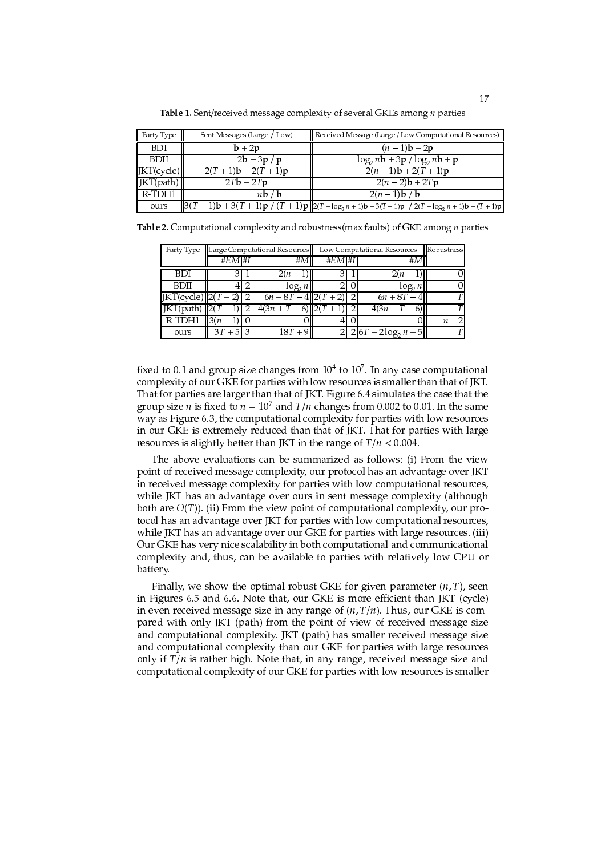| Party Type                        | Sent Messages (Large / Low)              | Received Message (Large / Low Computational Resources)                                                                                                        |
|-----------------------------------|------------------------------------------|---------------------------------------------------------------------------------------------------------------------------------------------------------------|
| BDI                               | $b + 2p$                                 | $(n-1)b + 2p$                                                                                                                                                 |
| <b>BDII</b>                       | $2\mathbf{b} + 3\mathbf{p} / \mathbf{p}$ | $\log_2 nb + 3p / \log_2 nb + p$                                                                                                                              |
| $\vert$ IKT $\vert$ cycle $\vert$ | $2(T+1)b + 2(T+1)p$                      | $2(n-1)b + 2(T + 1)p$                                                                                                                                         |
| $ KT(\text{path}) $               | $2Tb + 2Tp$                              | $2(n-2)b + 2Tp$                                                                                                                                               |
| R-TDH1                            | nb/b                                     | $2(n-1)b/b$                                                                                                                                                   |
| ours                              |                                          | $\ 3(T+1)\mathbf{b} + 3(T+1)\mathbf{p} / (T+1)\mathbf{p} \ _{2(T+\log_2 n + 1)\mathbf{b} + 3(T+1)\mathbf{p}} / 2(T+\log_2 n + 1)\mathbf{b} + (T+1)\mathbf{p}$ |

Table 1. Sent/received message complexity of several GKEs among  $n$  parties

| <b>Table 2.</b> Computational complexity and robustness(max faults) of GKE among <i>n</i> parties |  |  |  |  |  |  |
|---------------------------------------------------------------------------------------------------|--|--|--|--|--|--|
|---------------------------------------------------------------------------------------------------|--|--|--|--|--|--|

| Party Type                  |           | Large Computational Resources | Low Computational Resources   | Robustness |                                |       |
|-----------------------------|-----------|-------------------------------|-------------------------------|------------|--------------------------------|-------|
|                             | $#EM$ #I  |                               | #M                            | $#EM$ #I   | #٨                             |       |
| <b>BDI</b>                  |           |                               | $2(n-1)$                      |            | $2(n-1)$                       |       |
| <b>BDII</b>                 |           |                               | $log_2 n$                     |            | $log_2 n$                      |       |
| $JKT(cycle)$ $(2(T + 2))$ 2 |           |                               | $6n + 8T - 4  2(T + 2) $      |            | $6n + 8T - 4$                  | Τ     |
| JKT(path) $  2(T+1)  $      |           |                               | $4(3n+T-\overline{6}) 2(T+1)$ |            | $4(3n + T - 6)$                | Т     |
| <b>R-TDH1</b> $ 3(n-1) $    |           |                               |                               |            |                                | $n-2$ |
| ours                        | $3T + 51$ |                               | $18T + 9$                     |            | $\sqrt{2 6T + 2\log_2 n + 5 }$ | T     |

fixed to 0.1 and group size changes from  $10<sup>4</sup>$  to  $10<sup>7</sup>$ . In any case computational complexity of our GKE for parties with low resources is smaller than that of JKT. That for parties are larger than that of JKT. Figure 6.4 simulates the case that the group size *n* is fixed to  $n = 10^7$  and  $T/n$  changes from 0.002 to 0.01. In the same way as Figure 6.3, the computational complexity for parties with low resources in our GKE is extremely reduced than that of JKT. That for parties with large resources is slightly better than JKT in the range of  $T/n < 0.004$ .

The above evaluations can be summarized as follows: (i) From the view point of received message complexity, our protocol has an advantage over JKT in received message complexity for parties with low computational resources, while JKT has an advantage over ours in sent message complexity (although both are  $O(T)$ ). (ii) From the view point of computational complexity, our protocol has an advantage over JKT for parties with low computational resources, while JKT has an advantage over our GKE for parties with large resources. (iii) Our GKE has very nice scalability in both computational and communicational complexity and, thus, can be available to parties with relatively low CPU or battery.

Finally, we show the optimal robust GKE for given parameter  $(n, T)$ , seen in Figures 6.5 and 6.6. Note that, our GKE is more efficient than JKT (cycle) in even received message size in any range of  $(n, T/n)$ . Thus, our GKE is compared with only JKT (path) from the point of view of received message size and computational complexity. JKT (path) has smaller received message size and computational complexity than our GKE for parties with large resources only if  $T/n$  is rather high. Note that, in any range, received message size and computational complexity of our GKE for parties with low resources is smaller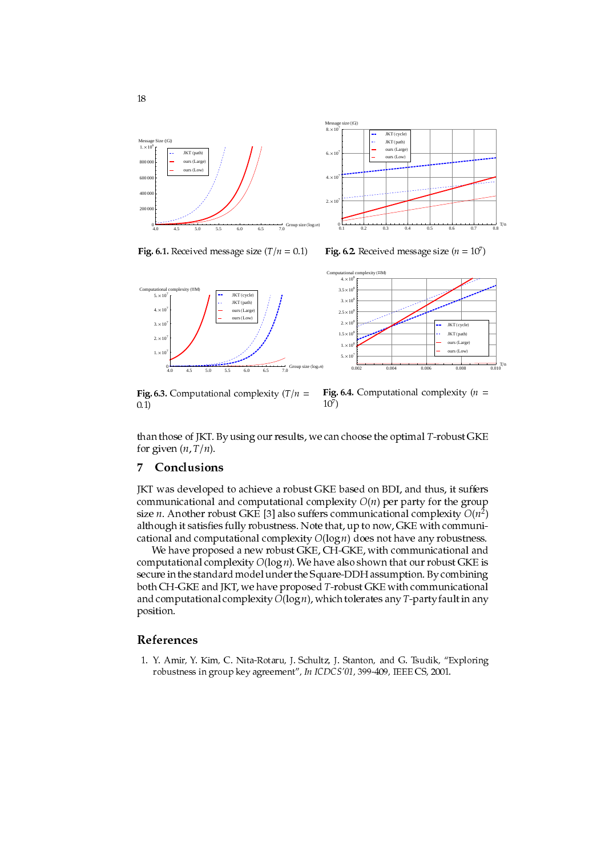



 $\mathbf{r}$  ,  $\mathbf{r}$  ,  $\mathbf{r}$  ,  $\mathbf{r}$  ,  $\mathbf{r}$  ,  $\mathbf{r}$  ,  $\mathbf{r}$  ,  $\mathbf{r}$  ,  $\mathbf{r}$  ,  $\mathbf{r}$  ,  $\mathbf{r}$  ,  $\mathbf{r}$  ,  $\mathbf{r}$  ,  $\mathbf{r}$  ,  $\mathbf{r}$  ,  $\mathbf{r}$  ,  $\mathbf{r}$  ,  $\mathbf{r}$  ,  $\mathbf{r}$  ,  $\mathbf{r}$  ,

Fig. 6.2. Neceived inessage size  $(n = 10^7)$  $\mathbf{r}$  and  $\mathbf{r}$  and  $\mathbf{r}$ 



 $\pm$  1, 0.0. Comparational complexity  $\pm$  / 1  $m = -\frac{1}{2}m$  and  $\frac{1}{2}m = -\frac{1}{2}m$  $0.1)$  $10^{7}$  $\mathbf{r}$  and  $\mathbf{r}$ 

 - ! 8\$ & - - - - " \* ! #- \$

### '

8 -#- - -#- - &+( - "" " "- - - ! size n. Another robust GNE [5] also suffers communicational complexity  $O(n^2)$  0- ! -\$ H - "" \* " "- - - #- -\$

)- #- - - ?\* "" " "- - \$ )- #-  $\blacksquare$  . The set of the set of the set of the set of the set of the set of the set of the set of the set of the set of the set of the set of the set of the set of the set of the set of the set of the set of the set of the ?\* 8 - #- - \* "" " "- - -- \* ! \$

### References

 $\blacksquare$  . The contract of the contract of the contract of the contract of the contract of the contract of the contract of the contract of the contract of the contract of the contract of the contract of the contract of the  $\frac{1}{2}$